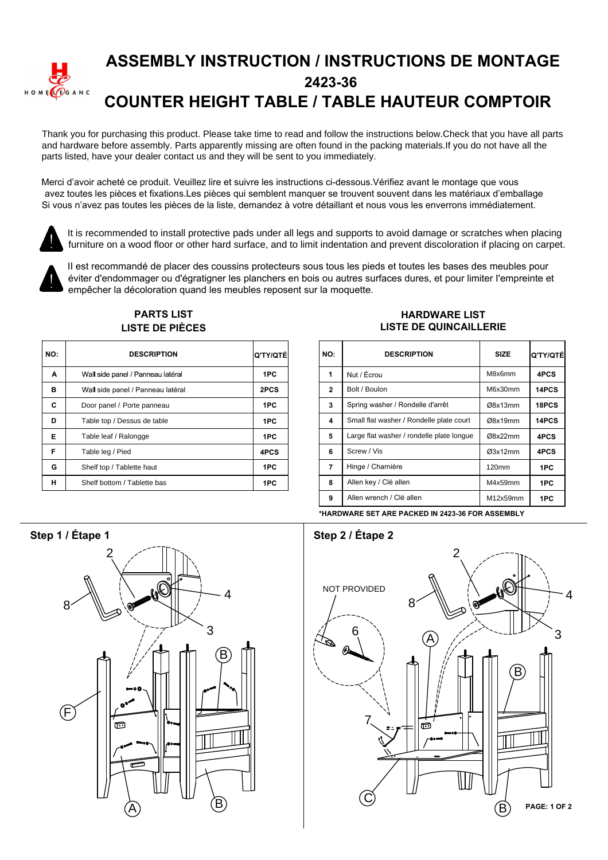

## **ASSEMBLY INSTRUCTION / INSTRUCTIONS DE MONTAGE 2423-36 COUNTER HEIGHT TABLE / TABLE HAUTEUR COMPTOIR**

Thank you for purchasing this product. Please take time to read and follow the instructions below.Check that you have all parts and hardware before assembly. Parts apparently missing are often found in the packing materials.If you do not have all the parts listed, have your dealer contact us and they will be sent to you immediately.

Merci d'avoir acheté ce produit. Veuillez lire et suivre les instructions ci-dessous. Vérifiez avant le montage que vous avez toutes les pièces et fixations.Les pièces qui semblent manquer se trouvent souvent dans les matériaux d'emballage Si vous n'avez pas toutes les pièces de la liste, demandez à votre détaillant et nous vous les enverrons immédiatement.



It is recommended to install protective pads under all legs and supports to avoid damage or scratches when placing furniture on a wood floor or other hard surface, and to limit indentation and prevent discoloration if placing on carpet.



Il est recommandé de placer des coussins protecteurs sous tous les pieds et toutes les bases des meubles pour éviter d'endommager ou d'égratigner les planchers en bois ou autres surfaces dures, et pour limiter l'empreinte et empêcher la décoloration quand les meubles reposent sur la moquette.

|     | LIJTL DL FILVLJ                   |           |  |                |  |  |  |
|-----|-----------------------------------|-----------|--|----------------|--|--|--|
| NO: | <b>DESCRIPTION</b>                | ΙQ'TY/QTÉ |  | <b>NO</b>      |  |  |  |
| A   | Wall side panel / Panneau latéral | 1PC       |  | 1              |  |  |  |
| в   | Wall side panel / Panneau latéral | 2PCS      |  | $\overline{2}$ |  |  |  |
| C   | Door panel / Porte panneau        | 1PC       |  | 3              |  |  |  |
| D   | Table top / Dessus de table       | 1PC       |  | 4              |  |  |  |
| Е   | Table leaf / Ralongge             | 1PC       |  | 5              |  |  |  |
| F   | Table leg / Pied                  | 4PCS      |  | 6              |  |  |  |
| G   | Shelf top / Tablette haut         | 1PC       |  | 7              |  |  |  |
| н   | Shelf bottom / Tablette bas       | 1PC       |  | 8              |  |  |  |

### **PARTS LIST** *I* ISTE DE DIÈCES

#### **HARDWARE LIST LISTE DE QUINCAILLERIE**

| TY/QTÉİ | NO:          | <b>DESCRIPTION</b>                        | <b>SIZE</b>       | Ο ΤΥ/ΟΤΕΙ |
|---------|--------------|-------------------------------------------|-------------------|-----------|
| 1PC     | 1            | Nut / Écrou                               | M8x6mm            | 4PCS      |
| 2PCS    | $\mathbf{2}$ | Bolt / Boulon                             | M6x30mm           | 14PCS     |
| 1PC     | 3            | Spring washer / Rondelle d'arrêt          | Ø8x13mm           | 18PCS     |
| 1PC     | 4            | Small flat washer / Rondelle plate court  | Ø8x19mm           | 14PCS     |
| 1PC     | 5            | Large flat washer / rondelle plate longue | Ø8x22mm           | 4PCS      |
| 1PCS    | 6            | Screw / Vis                               | Q3x12mm           | 4PCS      |
| 1PC     | 7            | Hinge / Charnière                         | 120 <sub>mm</sub> | 1PC       |
| 1PC     | 8            | Allen key / Clé allen                     | M4x59mm           | 1PC       |
|         | 9            | Allen wrench / Clé allen                  | M12x59mm          | 1PC       |

**\*HARDWARE SET ARE PACKED IN 2423-36 FOR ASSEMBLY**

# **6WHSelection Step 1 / Étape 1 / Step 2 / Étape 2 / Étape 2 / Étape 2 / Étape 2 / Étape 2 / Étape 2 / Étape 2 / Étape 2 / Étape 2 / Étape 2 / Étape 2 / Étape 2 / Étape 2 / Étape 2 / Étape 2 / Étape 2 / Étape 2 / Étape 2 /** 2 4 3 8 B (F  $\overline{A}$  (B